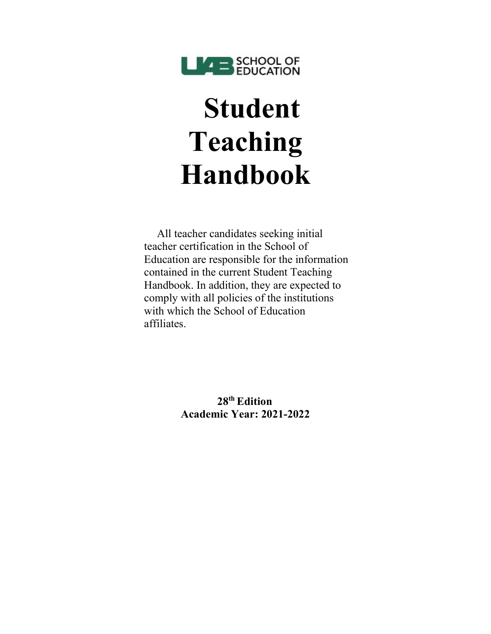

# **Student Teaching Handbook**

All teacher candidates seeking initial teacher certification in the School of Education are responsible for the information contained in the current Student Teaching Handbook. In addition, they are expected to comply with all policies of the institutions with which the School of Education affiliates.

> **28th Edition Academic Year: 2021-2022**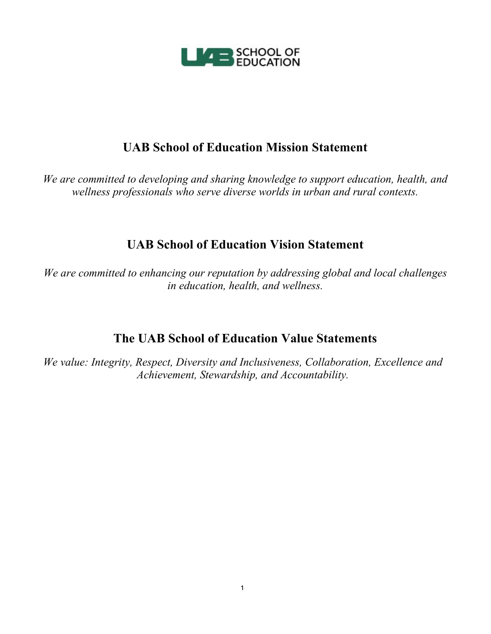

# **UAB School of Education Mission Statement**

*We are committed to developing and sharing knowledge to support education, health, and wellness professionals who serve diverse worlds in urban and rural contexts.*

# **UAB School of Education Vision Statement**

*We are committed to enhancing our reputation by addressing global and local challenges in education, health, and wellness.*

# **The UAB School of Education Value Statements**

*We value: Integrity, Respect, Diversity and Inclusiveness, Collaboration, Excellence and Achievement, Stewardship, and Accountability.*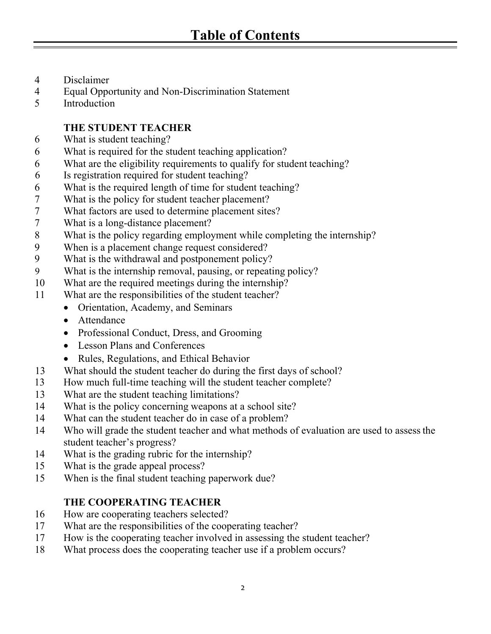- Disclaimer
- Equal Opportunity and Non-Discrimination Statement
- Introduction

# **THE STUDENT TEACHER**

- What is student teaching?
- What is required for the student teaching application?
- What are the eligibility requirements to qualify for student teaching?
- Is registration required for student teaching?
- What is the required length of time for student teaching?
- What is the policy for student teacher placement?
- What factors are used to determine placement sites?
- What is a long-distance placement?
- What is the policy regarding employment while completing the internship?
- When is a placement change request considered?
- What is the withdrawal and postponement policy?
- What is the internship removal, pausing, or repeating policy?
- What are the required meetings during the internship?
- What are the responsibilities of the student teacher?
	- Orientation, Academy, and Seminars
	- Attendance
	- Professional Conduct, Dress, and Grooming
	- Lesson Plans and Conferences
	- Rules, Regulations, and Ethical Behavior
- What should the student teacher do during the first days of school?
- How much full-time teaching will the student teacher complete?
- What are the student teaching limitations?
- What is the policy concerning weapons at a school site?
- What can the student teacher do in case of a problem?
- Who will grade the student teacher and what methods of evaluation are used to assessthe student teacher's progress?
- What is the grading rubric for the internship?
- What is the grade appeal process?
- When is the final student teaching paperwork due?

# **THE COOPERATING TEACHER**

- How are cooperating teachers selected?
- What are the responsibilities of the cooperating teacher?
- How is the cooperating teacher involved in assessing the student teacher?
- What process does the cooperating teacher use if a problem occurs?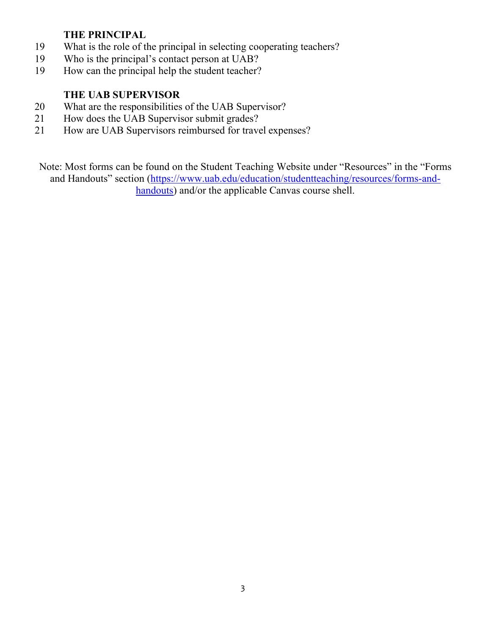## **THE PRINCIPAL**

- 19 What is the role of the principal in selecting cooperating teachers?<br>19 Who is the principal's contact person at UAB?
- Who is the principal's contact person at UAB?
- 19 How can the principal help the student teacher?

## **THE UAB SUPERVISOR**

- 20 What are the responsibilities of the UAB Supervisor?<br>21 How does the UAB Supervisor submit grades?
- How does the UAB Supervisor submit grades?
- 21 How are UAB Supervisors reimbursed for travel expenses?

Note: Most forms can be found on the Student Teaching Website under "Resources" in the "Forms and Handouts" section [\(https://www.uab.edu/education/studentteaching/resources/forms-and](https://www.uab.edu/education/studentteaching/resources/forms-and-handouts)[handouts\)](https://www.uab.edu/education/studentteaching/resources/forms-and-handouts) and/or the applicable Canvas course shell.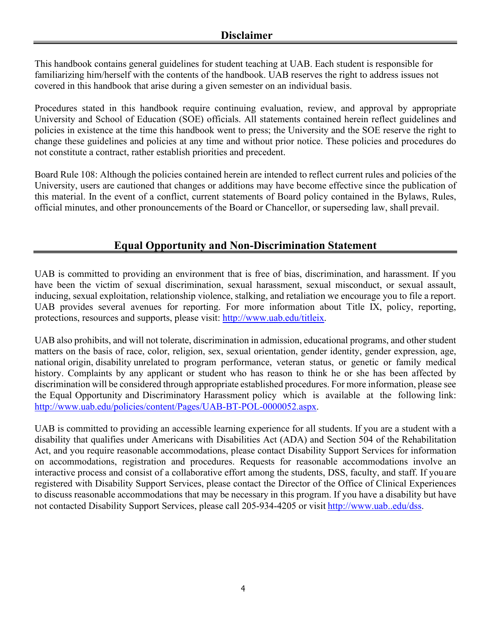This handbook contains general guidelines for student teaching at UAB. Each student is responsible for familiarizing him/herself with the contents of the handbook. UAB reserves the right to address issues not covered in this handbook that arise during a given semester on an individual basis.

Procedures stated in this handbook require continuing evaluation, review, and approval by appropriate University and School of Education (SOE) officials. All statements contained herein reflect guidelines and policies in existence at the time this handbook went to press; the University and the SOE reserve the right to change these guidelines and policies at any time and without prior notice. These policies and procedures do not constitute a contract, rather establish priorities and precedent.

Board Rule 108: Although the policies contained herein are intended to reflect current rules and policies of the University, users are cautioned that changes or additions may have become effective since the publication of this material. In the event of a conflict, current statements of Board policy contained in the Bylaws, Rules, official minutes, and other pronouncements of the Board or Chancellor, or superseding law, shall prevail.

# **Equal Opportunity and Non-Discrimination Statement**

UAB is committed to providing an environment that is free of bias, discrimination, and harassment. If you have been the victim of sexual discrimination, sexual harassment, sexual misconduct, or sexual assault, inducing, sexual exploitation, relationship violence, stalking, and retaliation we encourage you to file a report. UAB provides several avenues for reporting. For more information about Title IX, policy, reporting, protections, resources and supports, please visit: [http://www.uab.edu/titleix.](http://www.uab.edu/titleix)

UAB also prohibits, and will not tolerate, discrimination in admission, educational programs, and other student matters on the basis of race, color, religion, sex, sexual orientation, gender identity, gender expression, age, national origin, disability unrelated to program performance, veteran status, or genetic or family medical history. Complaints by any applicant or student who has reason to think he or she has been affected by discrimination will be considered through appropriate established procedures. For more information, please see the Equal Opportunity and Discriminatory Harassment policy which is available at the following link: [http://www.uab.edu/policies/content/Pages/UAB-BT-POL-0000052.aspx.](http://www.uab.edu/policies/content/Pages/UAB-BT-POL-0000052.aspx)

UAB is committed to providing an accessible learning experience for all students. If you are a student with a disability that qualifies under Americans with Disabilities Act (ADA) and Section 504 of the Rehabilitation Act, and you require reasonable accommodations, please contact Disability Support Services for information on accommodations, registration and procedures. Requests for reasonable accommodations involve an interactive process and consist of a collaborative effort among the students, DSS, faculty, and staff. If youare registered with Disability Support Services, please contact the Director of the Office of Clinical Experiences to discuss reasonable accommodations that may be necessary in this program. If you have a disability but have not contacted Disability Support Services, please call 205-934-4205 or visit [http://www.uab..edu/dss.](http://www.uab.edu/dss)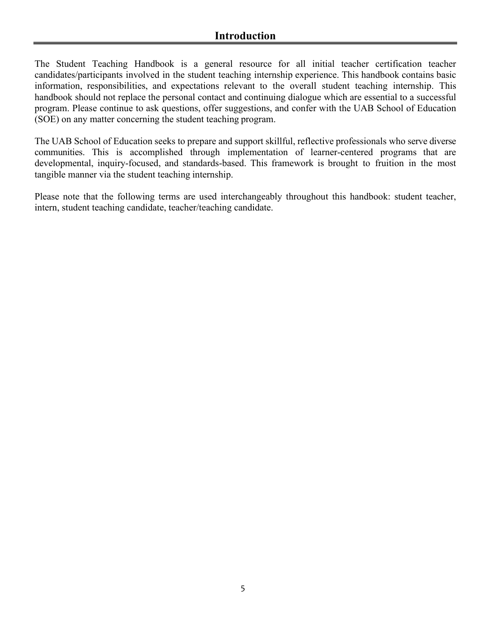The Student Teaching Handbook is a general resource for all initial teacher certification teacher candidates/participants involved in the student teaching internship experience. This handbook contains basic information, responsibilities, and expectations relevant to the overall student teaching internship. This handbook should not replace the personal contact and continuing dialogue which are essential to a successful program. Please continue to ask questions, offer suggestions, and confer with the UAB School of Education (SOE) on any matter concerning the student teaching program.

The UAB School of Education seeks to prepare and support skillful, reflective professionals who serve diverse communities. This is accomplished through implementation of learner-centered programs that are developmental, inquiry-focused, and standards-based. This framework is brought to fruition in the most tangible manner via the student teaching internship.

Please note that the following terms are used interchangeably throughout this handbook: student teacher, intern, student teaching candidate, teacher/teaching candidate.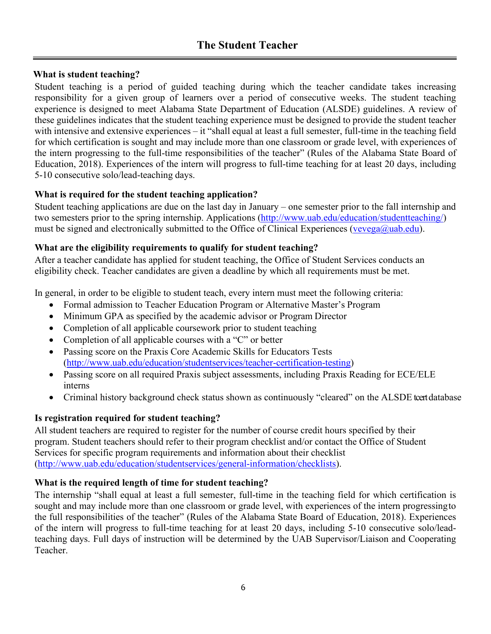## **What is student teaching?**

Student teaching is a period of guided teaching during which the teacher candidate takes increasing responsibility for a given group of learners over a period of consecutive weeks. The student teaching experience is designed to meet Alabama State Department of Education (ALSDE) guidelines. A review of these guidelines indicates that the student teaching experience must be designed to provide the student teacher with intensive and extensive experiences – it "shall equal at least a full semester, full-time in the teaching field for which certification is sought and may include more than one classroom or grade level, with experiences of the intern progressing to the full-time responsibilities of the teacher" (Rules of the Alabama State Board of Education, 2018). Experiences of the intern will progress to full-time teaching for at least 20 days, including 5-10 consecutive solo/lead-teaching days.

## **What is required for the student teaching application?**

Student teaching applications are due on the last day in January – one semester prior to the fall internship and two semesters prior to the spring internship. Applications [\(http://www.uab.edu/education/studentteaching/\)](http://www.uab.edu/education/studentteaching/) must be signed and electronically submitted to the Office of Clinical Experiences [\(vevega@uab.edu\)](mailto:vevega@uab.edu).

## **What are the eligibility requirements to qualify for student teaching?**

After a teacher candidate has applied for student teaching, the Office of Student Services conducts an eligibility check. Teacher candidates are given a deadline by which all requirements must be met.

In general, in order to be eligible to student teach, every intern must meet the following criteria:

- Formal admission to Teacher Education Program or Alternative Master's Program
- Minimum GPA as specified by the academic advisor or Program Director
- Completion of all applicable coursework prior to student teaching
- Completion of all applicable courses with a "C" or better
- Passing score on the Praxis Core Academic Skills for Educators Tests [\(http://www.uab.edu/education/studentservices/teacher-certification-testing\)](http://www.uab.edu/education/studentservices/teacher-certification-testing)
- Passing score on all required Praxis subject assessments, including Praxis Reading for ECE/ELE interns
- Criminal history background check status shown as continuously "cleared" on the ALSDE tcert database

## **Is registration required for student teaching?**

All student teachers are required to register for the number of course credit hours specified by their program. Student teachers should refer to their program checklist and/or contact the Office of Student Services for specific program requirements and information about their checklist [\(http://www.uab.edu/education/studentservices/general-information/checklists\)](http://www.uab.edu/education/studentservices/general-information/checklists).

## **What is the required length of time for student teaching?**

The internship "shall equal at least a full semester, full-time in the teaching field for which certification is sought and may include more than one classroom or grade level, with experiences of the intern progressingto the full responsibilities of the teacher" (Rules of the Alabama State Board of Education, 2018). Experiences of the intern will progress to full-time teaching for at least 20 days, including 5-10 consecutive solo/leadteaching days. Full days of instruction will be determined by the UAB Supervisor/Liaison and Cooperating Teacher.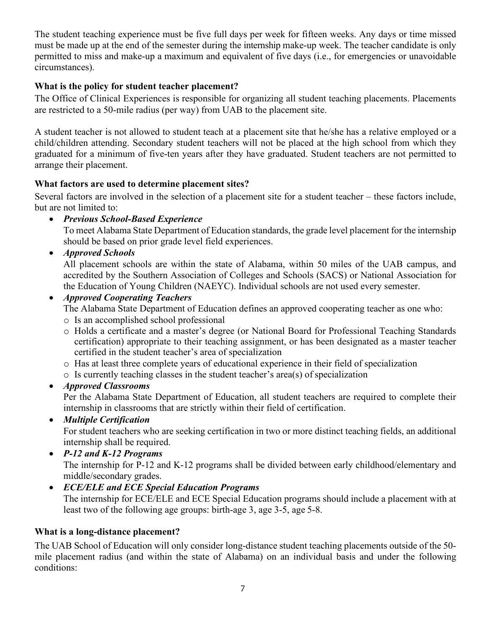The student teaching experience must be five full days per week for fifteen weeks. Any days or time missed must be made up at the end of the semester during the internship make-up week. The teacher candidate is only permitted to miss and make-up a maximum and equivalent of five days (i.e., for emergencies or unavoidable circumstances).

## **What is the policy for student teacher placement?**

The Office of Clinical Experiences is responsible for organizing all student teaching placements. Placements are restricted to a 50-mile radius (per way) from UAB to the placement site.

A student teacher is not allowed to student teach at a placement site that he/she has a relative employed or a child/children attending. Secondary student teachers will not be placed at the high school from which they graduated for a minimum of five-ten years after they have graduated. Student teachers are not permitted to arrange their placement.

## **What factors are used to determine placement sites?**

Several factors are involved in the selection of a placement site for a student teacher – these factors include, but are not limited to:

• *Previous School-Based Experience*

To meet Alabama State Department of Education standards, the grade level placement for the internship should be based on prior grade level field experiences.

• *Approved Schools*

All placement schools are within the state of Alabama, within 50 miles of the UAB campus, and accredited by the Southern Association of Colleges and Schools (SACS) or National Association for the Education of Young Children (NAEYC). Individual schools are not used every semester.

## • *Approved Cooperating Teachers*

The Alabama State Department of Education defines an approved cooperating teacher as one who:

- o Is an accomplished school professional
- o Holds a certificate and a master's degree (or National Board for Professional Teaching Standards certification) appropriate to their teaching assignment, or has been designated as a master teacher certified in the student teacher's area of specialization
- o Has at least three complete years of educational experience in their field of specialization
- o Is currently teaching classes in the student teacher's area(s) of specialization
- *Approved Classrooms*

Per the Alabama State Department of Education, all student teachers are required to complete their internship in classrooms that are strictly within their field of certification.

• *Multiple Certification*

For student teachers who are seeking certification in two or more distinct teaching fields, an additional internship shall be required.

• *P-12 and K-12 Programs*

The internship for P-12 and K-12 programs shall be divided between early childhood/elementary and middle/secondary grades.

• *ECE/ELE and ECE Special Education Programs*

The internship for ECE/ELE and ECE Special Education programs should include a placement with at least two of the following age groups: birth-age 3, age 3-5, age 5-8.

## **What is a long-distance placement?**

The UAB School of Education will only consider long-distance student teaching placements outside of the 50 mile placement radius (and within the state of Alabama) on an individual basis and under the following conditions: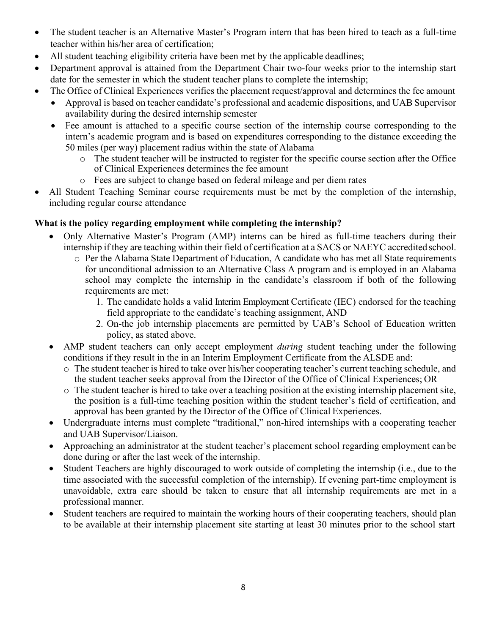- The student teacher is an Alternative Master's Program intern that has been hired to teach as a full-time teacher within his/her area of certification;
- All student teaching eligibility criteria have been met by the applicable deadlines;
- Department approval is attained from the Department Chair two-four weeks prior to the internship start date for the semester in which the student teacher plans to complete the internship;
- The Office of Clinical Experiences verifies the placement request/approval and determines the fee amount
	- Approval is based on teacher candidate's professional and academic dispositions, and UAB Supervisor availability during the desired internship semester
	- Fee amount is attached to a specific course section of the internship course corresponding to the intern's academic program and is based on expenditures corresponding to the distance exceeding the 50 miles (per way) placement radius within the state of Alabama
		- o The student teacher will be instructed to register for the specific course section after the Office of Clinical Experiences determines the fee amount
		- o Fees are subject to change based on federal mileage and per diem rates
- All Student Teaching Seminar course requirements must be met by the completion of the internship, including regular course attendance

## **What is the policy regarding employment while completing the internship?**

- Only Alternative Master's Program (AMP) interns can be hired as full-time teachers during their internship if they are teaching within their field of certification at a SACS or NAEYC accredited school.
	- o Per the Alabama State Department of Education, A candidate who has met all State requirements for unconditional admission to an Alternative Class A program and is employed in an Alabama school may complete the internship in the candidate's classroom if both of the following requirements are met:
		- 1. The candidate holds a valid Interim Employment Certificate (IEC) endorsed for the teaching field appropriate to the candidate's teaching assignment, AND
		- 2. On-the job internship placements are permitted by UAB's School of Education written policy, as stated above.
- AMP student teachers can only accept employment *during* student teaching under the following conditions if they result in the in an Interim Employment Certificate from the ALSDE and:
	- o The student teacher is hired to take over his/her cooperating teacher's current teaching schedule, and the student teacher seeks approval from the Director of the Office of Clinical Experiences; OR
	- o The student teacher is hired to take over a teaching position at the existing internship placement site, the position is a full-time teaching position within the student teacher's field of certification, and approval has been granted by the Director of the Office of Clinical Experiences.
- Undergraduate interns must complete "traditional," non-hired internships with a cooperating teacher and UAB Supervisor/Liaison.
- Approaching an administrator at the student teacher's placement school regarding employment can be done during or after the last week of the internship.
- Student Teachers are highly discouraged to work outside of completing the internship (i.e., due to the time associated with the successful completion of the internship). If evening part-time employment is unavoidable, extra care should be taken to ensure that all internship requirements are met in a professional manner.
- Student teachers are required to maintain the working hours of their cooperating teachers, should plan to be available at their internship placement site starting at least 30 minutes prior to the school start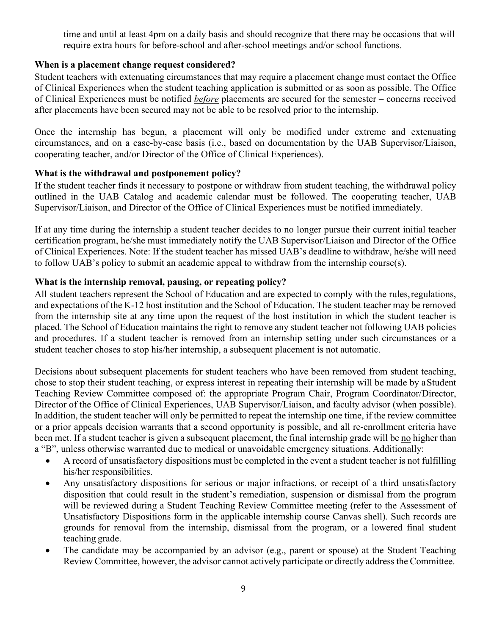time and until at least 4pm on a daily basis and should recognize that there may be occasions that will require extra hours for before-school and after-school meetings and/or school functions.

## **When is a placement change request considered?**

Student teachers with extenuating circumstances that may require a placement change must contact the Office of Clinical Experiences when the student teaching application is submitted or as soon as possible. The Office of Clinical Experiences must be notified *before* placements are secured for the semester – concerns received after placements have been secured may not be able to be resolved prior to the internship.

Once the internship has begun, a placement will only be modified under extreme and extenuating circumstances, and on a case-by-case basis (i.e., based on documentation by the UAB Supervisor/Liaison, cooperating teacher, and/or Director of the Office of Clinical Experiences).

## **What is the withdrawal and postponement policy?**

If the student teacher finds it necessary to postpone or withdraw from student teaching, the withdrawal policy outlined in the UAB Catalog and academic calendar must be followed. The cooperating teacher, UAB Supervisor/Liaison, and Director of the Office of Clinical Experiences must be notified immediately.

If at any time during the internship a student teacher decides to no longer pursue their current initial teacher certification program, he/she must immediately notify the UAB Supervisor/Liaison and Director of the Office of Clinical Experiences. Note: If the student teacher has missed UAB's deadline to withdraw, he/she will need to follow UAB's policy to submit an academic appeal to withdraw from the internship course(s).

#### **What is the internship removal, pausing, or repeating policy?**

All student teachers represent the School of Education and are expected to comply with the rules,regulations, and expectations of the K-12 host institution and the School of Education. The student teacher may be removed from the internship site at any time upon the request of the host institution in which the student teacher is placed. The School of Education maintains the right to remove any student teacher not following UAB policies and procedures. If a student teacher is removed from an internship setting under such circumstances or a student teacher choses to stop his/her internship, a subsequent placement is not automatic.

Decisions about subsequent placements for student teachers who have been removed from student teaching, chose to stop their student teaching, or express interest in repeating their internship will be made by aStudent Teaching Review Committee composed of: the appropriate Program Chair, Program Coordinator/Director, Director of the Office of Clinical Experiences, UAB Supervisor/Liaison, and faculty advisor (when possible). In addition, the student teacher will only be permitted to repeat the internship one time, if the review committee or a prior appeals decision warrants that a second opportunity is possible, and all re-enrollment criteria have been met. If a student teacher is given a subsequent placement, the final internship grade will be no higher than a "B", unless otherwise warranted due to medical or unavoidable emergency situations. Additionally:

- A record of unsatisfactory dispositions must be completed in the event a student teacher is not fulfilling his/her responsibilities.
- Any unsatisfactory dispositions for serious or major infractions, or receipt of a third unsatisfactory disposition that could result in the student's remediation, suspension or dismissal from the program will be reviewed during a Student Teaching Review Committee meeting (refer to the Assessment of Unsatisfactory Dispositions form in the applicable internship course Canvas shell). Such records are grounds for removal from the internship, dismissal from the program, or a lowered final student teaching grade.
- The candidate may be accompanied by an advisor (e.g., parent or spouse) at the Student Teaching Review Committee, however, the advisor cannot actively participate or directly address the Committee.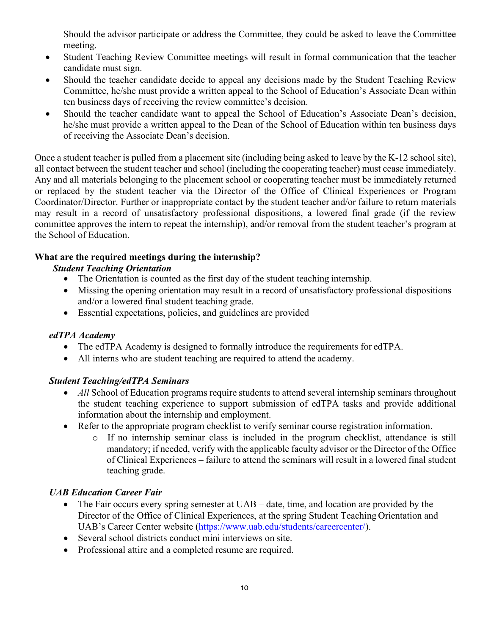Should the advisor participate or address the Committee, they could be asked to leave the Committee meeting.

- Student Teaching Review Committee meetings will result in formal communication that the teacher candidate must sign.
- Should the teacher candidate decide to appeal any decisions made by the Student Teaching Review Committee, he/she must provide a written appeal to the School of Education's Associate Dean within ten business days of receiving the review committee's decision.
- Should the teacher candidate want to appeal the School of Education's Associate Dean's decision, he/she must provide a written appeal to the Dean of the School of Education within ten business days of receiving the Associate Dean's decision.

Once a student teacher is pulled from a placement site (including being asked to leave by the K-12 school site), all contact between the student teacher and school (including the cooperating teacher) must cease immediately. Any and all materials belonging to the placement school or cooperating teacher must be immediately returned or replaced by the student teacher via the Director of the Office of Clinical Experiences or Program Coordinator/Director. Further or inappropriate contact by the student teacher and/or failure to return materials may result in a record of unsatisfactory professional dispositions, a lowered final grade (if the review committee approves the intern to repeat the internship), and/or removal from the student teacher's program at the School of Education.

## **What are the required meetings during the internship?**

## *Student Teaching Orientation*

- The Orientation is counted as the first day of the student teaching internship.
- Missing the opening orientation may result in a record of unsatisfactory professional dispositions and/or a lowered final student teaching grade.
- Essential expectations, policies, and guidelines are provided

#### *edTPA Academy*

- The edTPA Academy is designed to formally introduce the requirements for edTPA.
- All interns who are student teaching are required to attend the academy.

## *Student Teaching/edTPA Seminars*

- *All* School of Education programs require students to attend several internship seminars throughout the student teaching experience to support submission of edTPA tasks and provide additional information about the internship and employment.
- Refer to the appropriate program checklist to verify seminar course registration information.
	- o If no internship seminar class is included in the program checklist, attendance is still mandatory; if needed, verify with the applicable faculty advisor or the Director of the Office of Clinical Experiences – failure to attend the seminars will result in a lowered final student teaching grade.

## *UAB Education Career Fair*

- The Fair occurs every spring semester at UAB date, time, and location are provided by the Director of the Office of Clinical Experiences, at the spring Student Teaching Orientation and UAB's Career Center website [\(https://www.uab.edu/students/careercenter/\)](https://www.uab.edu/students/careercenter/).
- Several school districts conduct mini interviews on site.
- Professional attire and a completed resume are required.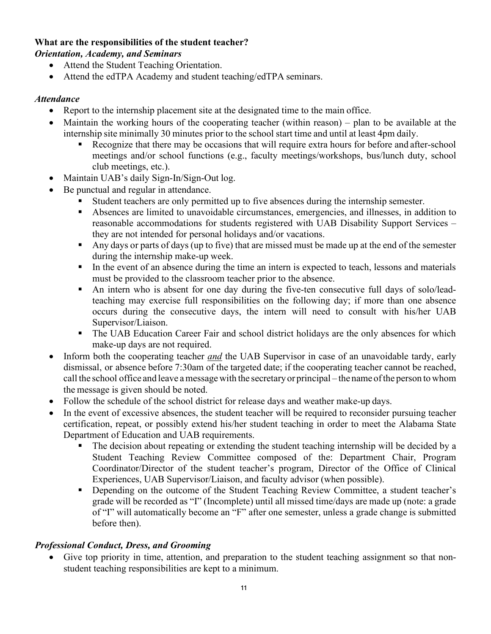#### **What are the responsibilities of the student teacher?** *Orientation, Academy, and Seminars*

- Attend the Student Teaching Orientation.
- Attend the edTPA Academy and student teaching/edTPA seminars.

## *Attendance*

- Report to the internship placement site at the designated time to the main office.
- Maintain the working hours of the cooperating teacher (within reason) plan to be available at the internship site minimally 30 minutes prior to the school start time and until at least 4pm daily.
	- Recognize that there may be occasions that will require extra hours for before and after-school meetings and/or school functions (e.g., faculty meetings/workshops, bus/lunch duty, school club meetings, etc.).
- Maintain UAB's daily Sign-In/Sign-Out log.
- Be punctual and regular in attendance.
	- Student teachers are only permitted up to five absences during the internship semester.
	- Absences are limited to unavoidable circumstances, emergencies, and illnesses, in addition to reasonable accommodations for students registered with UAB Disability Support Services – they are not intended for personal holidays and/or vacations.
	- Any days or parts of days (up to five) that are missed must be made up at the end of the semester during the internship make-up week.
	- In the event of an absence during the time an intern is expected to teach, lessons and materials must be provided to the classroom teacher prior to the absence.
	- An intern who is absent for one day during the five-ten consecutive full days of solo/leadteaching may exercise full responsibilities on the following day; if more than one absence occurs during the consecutive days, the intern will need to consult with his/her UAB Supervisor/Liaison.
	- The UAB Education Career Fair and school district holidays are the only absences for which make-up days are not required.
- Inform both the cooperating teacher *and* the UAB Supervisor in case of an unavoidable tardy, early dismissal, or absence before 7:30am of the targeted date; if the cooperating teacher cannot be reached, call the school office and leave amessage with the secretary or principal – the name ofthe person to whom the message is given should be noted.
- Follow the schedule of the school district for release days and weather make-up days.
- In the event of excessive absences, the student teacher will be required to reconsider pursuing teacher certification, repeat, or possibly extend his/her student teaching in order to meet the Alabama State Department of Education and UAB requirements.
	- The decision about repeating or extending the student teaching internship will be decided by a Student Teaching Review Committee composed of the: Department Chair, Program Coordinator/Director of the student teacher's program, Director of the Office of Clinical Experiences, UAB Supervisor/Liaison, and faculty advisor (when possible).
	- **•** Depending on the outcome of the Student Teaching Review Committee, a student teacher's grade will be recorded as "I" (Incomplete) until all missed time/days are made up (note: a grade of "I" will automatically become an "F" after one semester, unless a grade change is submitted before then).

## *Professional Conduct, Dress, and Grooming*

• Give top priority in time, attention, and preparation to the student teaching assignment so that nonstudent teaching responsibilities are kept to a minimum.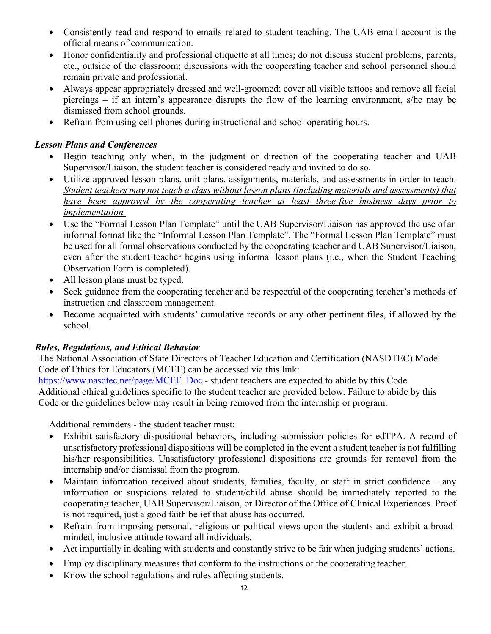- Consistently read and respond to emails related to student teaching. The UAB email account is the official means of communication.
- Honor confidentiality and professional etiquette at all times; do not discuss student problems, parents, etc., outside of the classroom; discussions with the cooperating teacher and school personnel should remain private and professional.
- Always appear appropriately dressed and well-groomed; cover all visible tattoos and remove all facial piercings – if an intern's appearance disrupts the flow of the learning environment, s/he may be dismissed from school grounds.
- Refrain from using cell phones during instructional and school operating hours.

## *Lesson Plans and Conferences*

- Begin teaching only when, in the judgment or direction of the cooperating teacher and UAB Supervisor/Liaison, the student teacher is considered ready and invited to do so.
- Utilize approved lesson plans, unit plans, assignments, materials, and assessments in order to teach. *Student teachers may not teach a class without lesson plans (including materials and assessments) that have been approved by the cooperating teacher at least three-five business days prior to implementation.*
- Use the "Formal Lesson Plan Template" until the UAB Supervisor/Liaison has approved the use of an informal format like the "Informal Lesson Plan Template". The "Formal Lesson Plan Template" must be used for all formal observations conducted by the cooperating teacher and UAB Supervisor/Liaison, even after the student teacher begins using informal lesson plans (i.e., when the Student Teaching Observation Form is completed).
- All lesson plans must be typed.
- Seek guidance from the cooperating teacher and be respectful of the cooperating teacher's methods of instruction and classroom management.
- Become acquainted with students' cumulative records or any other pertinent files, if allowed by the school.

#### *Rules, Regulations, and Ethical Behavior*

The National Association of State Directors of Teacher Education and Certification (NASDTEC) Model Code of Ethics for Educators (MCEE) can be accessed via this link:

[https://www.nasdtec.net/page/MCEE\\_Doc](https://www.nasdtec.net/page/MCEE_Doc) - student teachers are expected to abide by this Code. Additional ethical guidelines specific to the student teacher are provided below. Failure to abide by this Code or the guidelines below may result in being removed from the internship or program.

Additional reminders - the student teacher must:

- Exhibit satisfactory dispositional behaviors, including submission policies for edTPA. A record of unsatisfactory professional dispositions will be completed in the event a student teacher is not fulfilling his/her responsibilities. Unsatisfactory professional dispositions are grounds for removal from the internship and/or dismissal from the program.
- Maintain information received about students, families, faculty, or staff in strict confidence any information or suspicions related to student/child abuse should be immediately reported to the cooperating teacher, UAB Supervisor/Liaison, or Director of the Office of Clinical Experiences. Proof is not required, just a good faith belief that abuse has occurred.
- Refrain from imposing personal, religious or political views upon the students and exhibit a broadminded, inclusive attitude toward all individuals.
- Act impartially in dealing with students and constantly strive to be fair when judging students' actions.
- Employ disciplinary measures that conform to the instructions of the cooperating teacher.
- Know the school regulations and rules affecting students.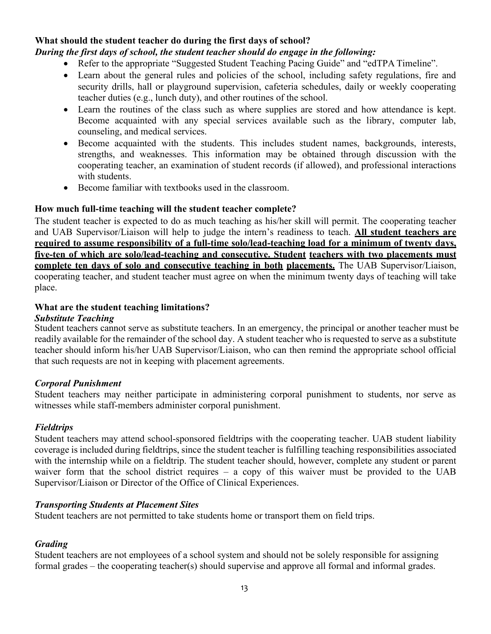## **What should the student teacher do during the first days of school?**

## *During the first days of school, the student teacher should do engage in the following:*

- Refer to the appropriate "Suggested Student Teaching Pacing Guide" and "edTPA Timeline".
- Learn about the general rules and policies of the school, including safety regulations, fire and security drills, hall or playground supervision, cafeteria schedules, daily or weekly cooperating teacher duties (e.g., lunch duty), and other routines of the school.
- Learn the routines of the class such as where supplies are stored and how attendance is kept. Become acquainted with any special services available such as the library, computer lab, counseling, and medical services.
- Become acquainted with the students. This includes student names, backgrounds, interests, strengths, and weaknesses. This information may be obtained through discussion with the cooperating teacher, an examination of student records (if allowed), and professional interactions with students.
- Become familiar with textbooks used in the classroom.

#### **How much full-time teaching will the student teacher complete?**

The student teacher is expected to do as much teaching as his/her skill will permit. The cooperating teacher and UAB Supervisor/Liaison will help to judge the intern's readiness to teach. **All student teachers are required to assume responsibility of a full-time solo/lead-teaching load for a minimum of twenty days, five-ten of which are solo/lead-teaching and consecutive. Student teachers with two placements must complete ten days of solo and consecutive teaching in both placements.** The UAB Supervisor/Liaison, cooperating teacher, and student teacher must agree on when the minimum twenty days of teaching will take place.

#### **What are the student teaching limitations?**

#### *Substitute Teaching*

Student teachers cannot serve as substitute teachers. In an emergency, the principal or another teacher must be readily available for the remainder of the school day. A student teacher who is requested to serve as a substitute teacher should inform his/her UAB Supervisor/Liaison, who can then remind the appropriate school official that such requests are not in keeping with placement agreements.

#### *Corporal Punishment*

Student teachers may neither participate in administering corporal punishment to students, nor serve as witnesses while staff-members administer corporal punishment.

#### *Fieldtrips*

Student teachers may attend school-sponsored fieldtrips with the cooperating teacher. UAB student liability coverage is included during fieldtrips, since the student teacher is fulfilling teaching responsibilities associated with the internship while on a fieldtrip. The student teacher should, however, complete any student or parent waiver form that the school district requires – a copy of this waiver must be provided to the UAB Supervisor/Liaison or Director of the Office of Clinical Experiences.

#### *Transporting Students at Placement Sites*

Student teachers are not permitted to take students home or transport them on field trips.

#### *Grading*

Student teachers are not employees of a school system and should not be solely responsible for assigning formal grades – the cooperating teacher(s) should supervise and approve all formal and informal grades.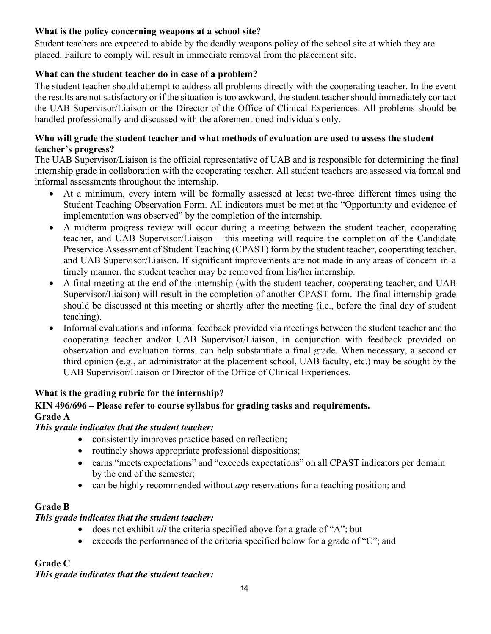## **What is the policy concerning weapons at a school site?**

Student teachers are expected to abide by the deadly weapons policy of the school site at which they are placed. Failure to comply will result in immediate removal from the placement site.

## **What can the student teacher do in case of a problem?**

The student teacher should attempt to address all problems directly with the cooperating teacher. In the event the results are not satisfactory or if the situation is too awkward, the student teacher should immediately contact the UAB Supervisor/Liaison or the Director of the Office of Clinical Experiences. All problems should be handled professionally and discussed with the aforementioned individuals only.

#### **Who will grade the student teacher and what methods of evaluation are used to assess the student teacher's progress?**

The UAB Supervisor/Liaison is the official representative of UAB and is responsible for determining the final internship grade in collaboration with the cooperating teacher. All student teachers are assessed via formal and informal assessments throughout the internship.

- At a minimum, every intern will be formally assessed at least two-three different times using the Student Teaching Observation Form. All indicators must be met at the "Opportunity and evidence of implementation was observed" by the completion of the internship.
- A midterm progress review will occur during a meeting between the student teacher, cooperating teacher, and UAB Supervisor/Liaison – this meeting will require the completion of the Candidate Preservice Assessment of Student Teaching (CPAST) form by the student teacher, cooperating teacher, and UAB Supervisor/Liaison. If significant improvements are not made in any areas of concern in a timely manner, the student teacher may be removed from his/her internship.
- A final meeting at the end of the internship (with the student teacher, cooperating teacher, and UAB Supervisor/Liaison) will result in the completion of another CPAST form. The final internship grade should be discussed at this meeting or shortly after the meeting (i.e., before the final day of student teaching).
- Informal evaluations and informal feedback provided via meetings between the student teacher and the cooperating teacher and/or UAB Supervisor/Liaison, in conjunction with feedback provided on observation and evaluation forms, can help substantiate a final grade. When necessary, a second or third opinion (e.g., an administrator at the placement school, UAB faculty, etc.) may be sought by the UAB Supervisor/Liaison or Director of the Office of Clinical Experiences.

## **What is the grading rubric for the internship?**

## **KIN 496/696 – Please refer to course syllabus for grading tasks and requirements. Grade A**

#### *This grade indicates that the student teacher:*

- consistently improves practice based on reflection;
- routinely shows appropriate professional dispositions;
- earns "meets expectations" and "exceeds expectations" on all CPAST indicators per domain by the end of the semester;
- can be highly recommended without *any* reservations for a teaching position; and

## **Grade B**

#### *This grade indicates that the student teacher:*

- does not exhibit *all* the criteria specified above for a grade of "A"; but
- exceeds the performance of the criteria specified below for a grade of "C"; and

## **Grade C**

*This grade indicates that the student teacher:*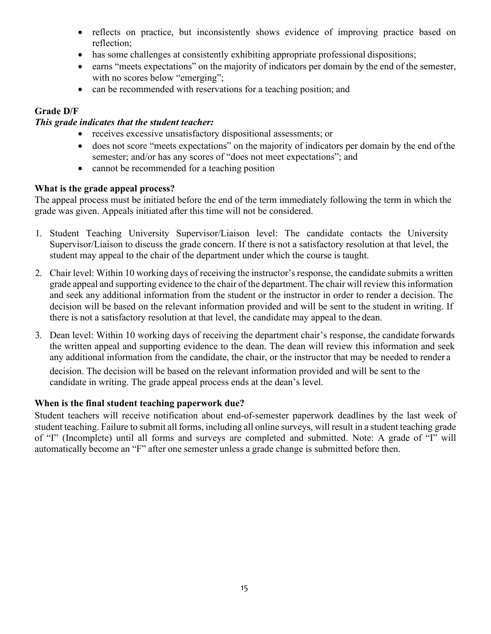- reflects on practice, but inconsistently shows evidence of improving practice based on reflection;
- has some challenges at consistently exhibiting appropriate professional dispositions;
- earns "meets expectations" on the majority of indicators per domain by the end of the semester, with no scores below "emerging";
- can be recommended with reservations for a teaching position; and

## **Grade D/F**

#### *This grade indicates that the student teacher:*

- receives excessive unsatisfactory dispositional assessments; or
- does not score "meets expectations" on the majority of indicators per domain by the end ofthe semester; and/or has any scores of "does not meet expectations"; and
- cannot be recommended for a teaching position

#### **What is the grade appeal process?**

The appeal process must be initiated before the end of the term immediately following the term in which the grade was given. Appeals initiated after this time will not be considered.

- 1. Student Teaching University Supervisor/Liaison level: The candidate contacts the University Supervisor/Liaison to discuss the grade concern. If there is not a satisfactory resolution at that level, the student may appeal to the chair of the department under which the course is taught.
- 2. Chair level: Within 10 working days of receiving the instructor's response, the candidate submits a written grade appeal and supporting evidence to the chair of the department. The chair will review this information and seek any additional information from the student or the instructor in order to render a decision. The decision will be based on the relevant information provided and will be sent to the student in writing. If there is not a satisfactory resolution at that level, the candidate may appeal to the dean.
- 3. Dean level: Within 10 working days of receiving the department chair's response, the candidate forwards the written appeal and supporting evidence to the dean. The dean will review this information and seek any additional information from the candidate, the chair, or the instructor that may be needed to render a

decision. The decision will be based on the relevant information provided and will be sent to the candidate in writing. The grade appeal process ends at the dean's level.

#### **When is the final student teaching paperwork due?**

Student teachers will receive notification about end-of-semester paperwork deadlines by the last week of student teaching. Failure to submit all forms, including all online surveys, will result in a student teaching grade of "I" (Incomplete) until all forms and surveys are completed and submitted. Note: A grade of "I" will automatically become an "F" after one semester unless a grade change is submitted before then.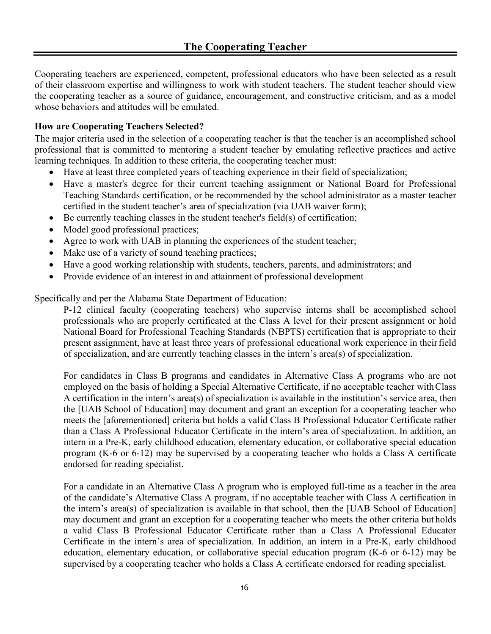Cooperating teachers are experienced, competent, professional educators who have been selected as a result of their classroom expertise and willingness to work with student teachers. The student teacher should view the cooperating teacher as a source of guidance, encouragement, and constructive criticism, and as a model whose behaviors and attitudes will be emulated.

#### **How are Cooperating Teachers Selected?**

The major criteria used in the selection of a cooperating teacher is that the teacher is an accomplished school professional that is committed to mentoring a student teacher by emulating reflective practices and active learning techniques. In addition to these criteria, the cooperating teacher must:

- Have at least three completed years of teaching experience in their field of specialization;
- Have a master's degree for their current teaching assignment or National Board for Professional Teaching Standards certification, or be recommended by the school administrator as a master teacher certified in the student teacher's area of specialization (via UAB waiver form);
- $\bullet$  Be currently teaching classes in the student teacher's field(s) of certification;
- Model good professional practices;
- Agree to work with UAB in planning the experiences of the student teacher;
- Make use of a variety of sound teaching practices;
- Have a good working relationship with students, teachers, parents, and administrators; and
- Provide evidence of an interest in and attainment of professional development

Specifically and per the Alabama State Department of Education:

P-12 clinical faculty (cooperating teachers) who supervise interns shall be accomplished school professionals who are properly certificated at the Class A level for their present assignment or hold National Board for Professional Teaching Standards (NBPTS) certification that is appropriate to their present assignment, have at least three years of professional educational work experience in theirfield of specialization, and are currently teaching classes in the intern's area(s) of specialization.

For candidates in Class B programs and candidates in Alternative Class A programs who are not employed on the basis of holding a Special Alternative Certificate, if no acceptable teacher withClass A certification in the intern's area(s) of specialization is available in the institution's service area, then the [UAB School of Education] may document and grant an exception for a cooperating teacher who meets the [aforementioned] criteria but holds a valid Class B Professional Educator Certificate rather than a Class A Professional Educator Certificate in the intern's area of specialization. In addition, an intern in a Pre-K, early childhood education, elementary education, or collaborative special education program (K-6 or 6-12) may be supervised by a cooperating teacher who holds a Class A certificate endorsed for reading specialist.

For a candidate in an Alternative Class A program who is employed full-time as a teacher in the area of the candidate's Alternative Class A program, if no acceptable teacher with Class A certification in the intern's area(s) of specialization is available in that school, then the [UAB School of Education] may document and grant an exception for a cooperating teacher who meets the other criteria but holds a valid Class B Professional Educator Certificate rather than a Class A Professional Educator Certificate in the intern's area of specialization. In addition, an intern in a Pre-K, early childhood education, elementary education, or collaborative special education program (K-6 or 6-12) may be supervised by a cooperating teacher who holds a Class A certificate endorsed for reading specialist.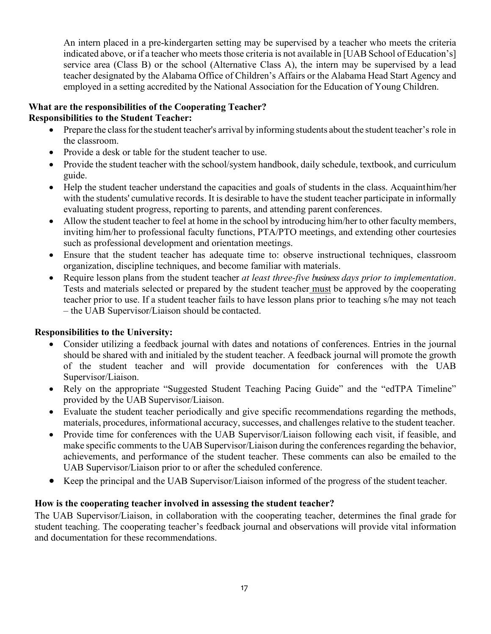An intern placed in a pre-kindergarten setting may be supervised by a teacher who meets the criteria indicated above, or if a teacher who meets those criteria is not available in [UAB School of Education's] service area (Class B) or the school (Alternative Class A), the intern may be supervised by a lead teacher designated by the Alabama Office of Children's Affairs or the Alabama Head Start Agency and employed in a setting accredited by the National Association for the Education of Young Children.

#### **What are the responsibilities of the Cooperating Teacher? Responsibilities to the Student Teacher:**

- Prepare the class for the student teacher's arrival by informing students about the student teacher's role in the classroom.
- Provide a desk or table for the student teacher to use.
- Provide the student teacher with the school/system handbook, daily schedule, textbook, and curriculum guide.
- Help the student teacher understand the capacities and goals of students in the class. Acquainthim/her with the students' cumulative records. It is desirable to have the student teacher participate in informally evaluating student progress, reporting to parents, and attending parent conferences.
- Allow the student teacher to feel at home in the school by introducing him/her to other faculty members, inviting him/her to professional faculty functions, PTA/PTO meetings, and extending other courtesies such as professional development and orientation meetings.
- Ensure that the student teacher has adequate time to: observe instructional techniques, classroom organization, discipline techniques, and become familiar with materials.
- Require lesson plans from the student teacher *at least three-five business days prior to implementation*. Tests and materials selected or prepared by the student teacher must be approved by the cooperating teacher prior to use. If a student teacher fails to have lesson plans prior to teaching s/he may not teach – the UAB Supervisor/Liaison should be contacted.

## **Responsibilities to the University:**

- Consider utilizing a feedback journal with dates and notations of conferences. Entries in the journal should be shared with and initialed by the student teacher. A feedback journal will promote the growth of the student teacher and will provide documentation for conferences with the UAB Supervisor/Liaison.
- Rely on the appropriate "Suggested Student Teaching Pacing Guide" and the "edTPA Timeline" provided by the UAB Supervisor/Liaison.
- Evaluate the student teacher periodically and give specific recommendations regarding the methods, materials, procedures, informational accuracy, successes, and challenges relative to the student teacher.
- Provide time for conferences with the UAB Supervisor/Liaison following each visit, if feasible, and make specific comments to the UAB Supervisor/Liaison during the conferences regarding the behavior, achievements, and performance of the student teacher. These comments can also be emailed to the UAB Supervisor/Liaison prior to or after the scheduled conference.
- Keep the principal and the UAB Supervisor/Liaison informed of the progress of the student teacher.

## **How is the cooperating teacher involved in assessing the student teacher?**

The UAB Supervisor/Liaison, in collaboration with the cooperating teacher, determines the final grade for student teaching. The cooperating teacher's feedback journal and observations will provide vital information and documentation for these recommendations.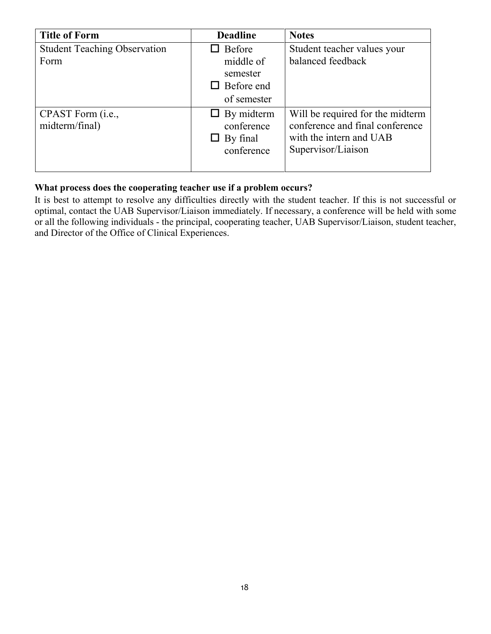| <b>Title of Form</b>                | <b>Deadline</b>   | <b>Notes</b>                     |
|-------------------------------------|-------------------|----------------------------------|
| <b>Student Teaching Observation</b> | $\Box$ Before     | Student teacher values your      |
| Form                                | middle of         | balanced feedback                |
|                                     | semester          |                                  |
|                                     | $\Box$ Before end |                                  |
|                                     | of semester       |                                  |
| CPAST Form ( <i>i.e.</i> ,          | $\Box$ By midterm | Will be required for the midterm |
| midterm/final)                      | conference        | conference and final conference  |
|                                     | $\Box$ By final   | with the intern and UAB          |
|                                     | conference        | Supervisor/Liaison               |
|                                     |                   |                                  |

## **What process does the cooperating teacher use if a problem occurs?**

It is best to attempt to resolve any difficulties directly with the student teacher. If this is not successful or optimal, contact the UAB Supervisor/Liaison immediately. If necessary, a conference will be held with some or all the following individuals - the principal, cooperating teacher, UAB Supervisor/Liaison, student teacher, and Director of the Office of Clinical Experiences.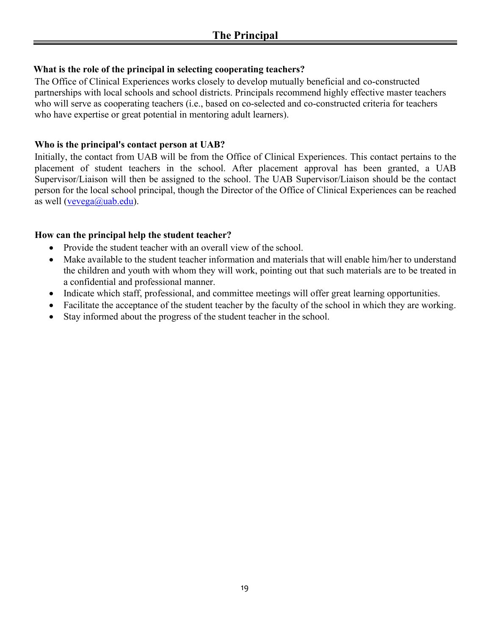## **What is the role of the principal in selecting cooperating teachers?**

The Office of Clinical Experiences works closely to develop mutually beneficial and co-constructed partnerships with local schools and school districts. Principals recommend highly effective master teachers who will serve as cooperating teachers (i.e., based on co-selected and co-constructed criteria for teachers who have expertise or great potential in mentoring adult learners).

## **Who is the principal's contact person at UAB?**

Initially, the contact from UAB will be from the Office of Clinical Experiences. This contact pertains to the placement of student teachers in the school. After placement approval has been granted, a UAB Supervisor/Liaison will then be assigned to the school. The UAB Supervisor/Liaison should be the contact person for the local school principal, though the Director of the Office of Clinical Experiences can be reached as well [\(vevega@uab.edu\)](mailto:vevega@uab.edu).

## **How can the principal help the student teacher?**

- Provide the student teacher with an overall view of the school.
- Make available to the student teacher information and materials that will enable him/her to understand the children and youth with whom they will work, pointing out that such materials are to be treated in a confidential and professional manner.
- Indicate which staff, professional, and committee meetings will offer great learning opportunities.
- Facilitate the acceptance of the student teacher by the faculty of the school in which they are working.
- Stay informed about the progress of the student teacher in the school.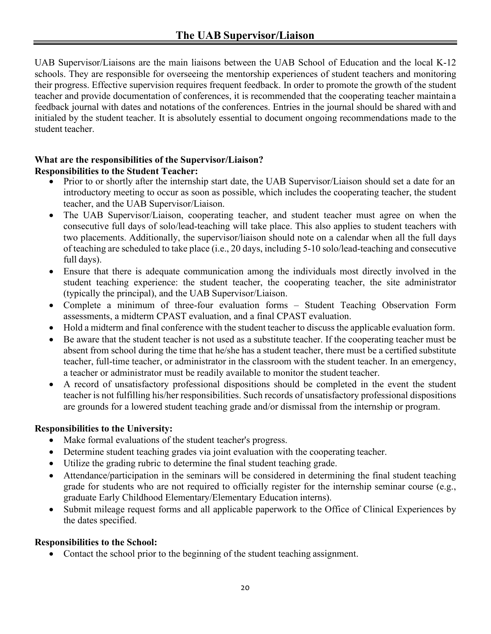UAB Supervisor/Liaisons are the main liaisons between the UAB School of Education and the local K-12 schools. They are responsible for overseeing the mentorship experiences of student teachers and monitoring their progress. Effective supervision requires frequent feedback. In order to promote the growth of the student teacher and provide documentation of conferences, it is recommended that the cooperating teacher maintain a feedback journal with dates and notations of the conferences. Entries in the journal should be shared with and initialed by the student teacher. It is absolutely essential to document ongoing recommendations made to the student teacher.

## **What are the responsibilities of the Supervisor/Liaison? Responsibilities to the Student Teacher:**

- Prior to or shortly after the internship start date, the UAB Supervisor/Liaison should set a date for an introductory meeting to occur as soon as possible, which includes the cooperating teacher, the student teacher, and the UAB Supervisor/Liaison.
- The UAB Supervisor/Liaison, cooperating teacher, and student teacher must agree on when the consecutive full days of solo/lead-teaching will take place. This also applies to student teachers with two placements. Additionally, the supervisor/liaison should note on a calendar when all the full days of teaching are scheduled to take place (i.e., 20 days, including 5-10 solo/lead-teaching and consecutive full days).
- Ensure that there is adequate communication among the individuals most directly involved in the student teaching experience: the student teacher, the cooperating teacher, the site administrator (typically the principal), and the UAB Supervisor/Liaison.
- Complete a minimum of three-four evaluation forms Student Teaching Observation Form assessments, a midterm CPAST evaluation, and a final CPAST evaluation.
- Hold a midterm and final conference with the student teacher to discuss the applicable evaluation form.
- Be aware that the student teacher is not used as a substitute teacher. If the cooperating teacher must be absent from school during the time that he/she has a student teacher, there must be a certified substitute teacher, full-time teacher, or administrator in the classroom with the student teacher. In an emergency, a teacher or administrator must be readily available to monitor the student teacher.
- A record of unsatisfactory professional dispositions should be completed in the event the student teacher is not fulfilling his/her responsibilities. Such records of unsatisfactory professional dispositions are grounds for a lowered student teaching grade and/or dismissal from the internship or program.

## **Responsibilities to the University:**

- Make formal evaluations of the student teacher's progress.
- Determine student teaching grades via joint evaluation with the cooperating teacher.
- Utilize the grading rubric to determine the final student teaching grade.
- Attendance/participation in the seminars will be considered in determining the final student teaching grade for students who are not required to officially register for the internship seminar course (e.g., graduate Early Childhood Elementary/Elementary Education interns).
- Submit mileage request forms and all applicable paperwork to the Office of Clinical Experiences by the dates specified.

## **Responsibilities to the School:**

• Contact the school prior to the beginning of the student teaching assignment.